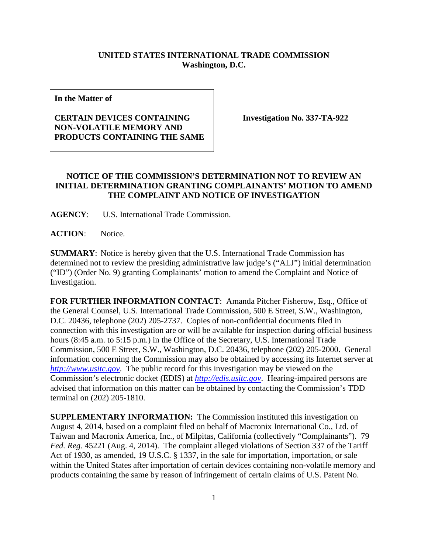## **UNITED STATES INTERNATIONAL TRADE COMMISSION Washington, D.C.**

**In the Matter of**

## **CERTAIN DEVICES CONTAINING NON-VOLATILE MEMORY AND PRODUCTS CONTAINING THE SAME**

**Investigation No. 337-TA-922**

## **NOTICE OF THE COMMISSION'S DETERMINATION NOT TO REVIEW AN INITIAL DETERMINATION GRANTING COMPLAINANTS' MOTION TO AMEND THE COMPLAINT AND NOTICE OF INVESTIGATION**

**AGENCY**: U.S. International Trade Commission.

**ACTION**: Notice.

**SUMMARY**: Notice is hereby given that the U.S. International Trade Commission has determined not to review the presiding administrative law judge's ("ALJ") initial determination ("ID") (Order No. 9) granting Complainants' motion to amend the Complaint and Notice of Investigation.

**FOR FURTHER INFORMATION CONTACT:** Amanda Pitcher Fisherow, Esq., Office of the General Counsel, U.S. International Trade Commission, 500 E Street, S.W., Washington, D.C. 20436, telephone (202) 205-2737. Copies of non-confidential documents filed in connection with this investigation are or will be available for inspection during official business hours (8:45 a.m. to 5:15 p.m.) in the Office of the Secretary, U.S. International Trade Commission, 500 E Street, S.W., Washington, D.C. 20436, telephone (202) 205-2000. General information concerning the Commission may also be obtained by accessing its Internet server at *[http://www.usitc.gov](http://www.usitc.gov/)*. The public record for this investigation may be viewed on the Commission's electronic docket (EDIS) at *[http://edis.usitc.gov](http://edis.usitc.gov/)*. Hearing-impaired persons are advised that information on this matter can be obtained by contacting the Commission's TDD terminal on (202) 205-1810.

**SUPPLEMENTARY INFORMATION:** The Commission instituted this investigation on August 4, 2014, based on a complaint filed on behalf of Macronix International Co., Ltd. of Taiwan and Macronix America, Inc., of Milpitas, California (collectively "Complainants"). 79 *Fed. Reg.* 45221 (Aug. 4, 2014). The complaint alleged violations of Section 337 of the Tariff Act of 1930, as amended, 19 U.S.C. § 1337, in the sale for importation, importation, or sale within the United States after importation of certain devices containing non-volatile memory and products containing the same by reason of infringement of certain claims of U.S. Patent No.